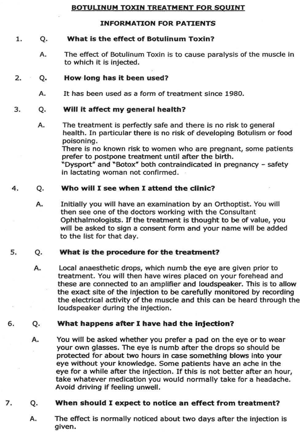# BOTULINUM TOXIN TREATMENT FOR SOUINT

# INFORMATION FOR PATIENTS

# 1. Q. What is the effect of Botulinum Toxin?

A. The effect of Botulinum Toxin is to cause paralysis of the muscle in to which it is injected.

### 2. Q. How long has it been used?

A. It has been used as a form of treatment since 1980.

# 3. Q. Will It affect my general health?

A. The treatment is perfectly safe and there is no risk to general health. In particular there is no risk of developing Botulism or food poisoning.

There is no known risk to women who are pregnant, some patients prefer to postpone treatment until after the birth. "Dysport" and "Botox" both contraindicated in pregnancy - safety in lactating woman not confirmed .

#### 4. Q. Who will I see when I attend the clinic?

A. Initially you will have an examination by an Orthoptist. You will then see one of the doctors working with the Consultant Ophthalmologists. If the treatment is thought to be of value, you will be asked to sign a consent form and your name will be added to the list for that day.

# 5. O. What is the procedure for the treatment?

A. Local anaesthetic drops, which numb the eye are given prior to treatment. You will then have wires placed on your forehead and these are connected to an amplifier and loudspeaker. This is to allow the exact site of the injection to be carefully monitored by recording the electrical activity of the muscle and this can be heard through the loudspeaker during the injection.

# 6. Q. What happens after I have had the injection?

A. You will be asked whether you prefer a pad on the eye or to wear your own glasses. The eye is numb after the drops so should be protected for about two hours in case something blows into your eye without your knowledge. Some patients have an ache in the eye for a while after the injection. If this is not better after an hour, take whatever medication you would normally take for a headache. Avoid driving if feeling unwell.

# 7. Q. When should I expect to notice an effect from treatment?

A. The effect is normally noticed about two days after the injection is given.